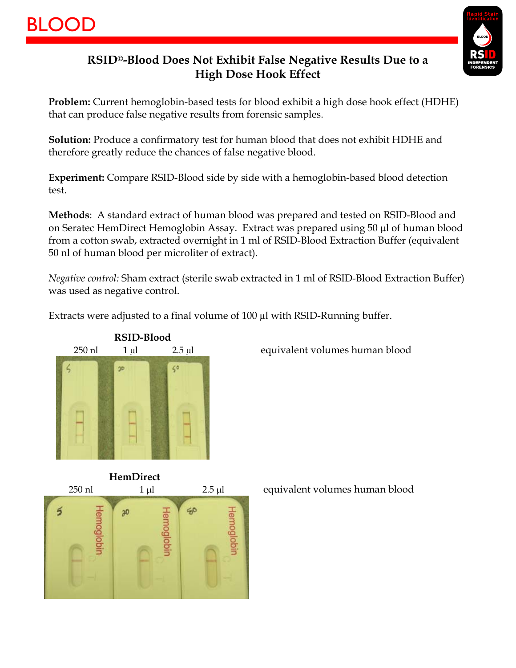

## **RSID©-Blood Does Not Exhibit False Negative Results Due to a High Dose Hook Effect**

**Problem:** Current hemoglobin-based tests for blood exhibit a high dose hook effect (HDHE) that can produce false negative results from forensic samples.

**Solution:** Produce a confirmatory test for human blood that does not exhibit HDHE and therefore greatly reduce the chances of false negative blood.

**Experiment:** Compare RSID-Blood side by side with a hemoglobin-based blood detection test.

**Methods**: A standard extract of human blood was prepared and tested on RSID-Blood and on Seratec HemDirect Hemoglobin Assay. Extract was prepared using 50 µl of human blood from a cotton swab, extracted overnight in 1 ml of RSID-Blood Extraction Buffer (equivalent 50 nl of human blood per microliter of extract).

*Negative control:* Sham extract (sterile swab extracted in 1 ml of RSID-Blood Extraction Buffer) was used as negative control.

Extracts were adjusted to a final volume of 100 µl with RSID-Running buffer.



250 nl 1 µl 2.5 µl equivalent volumes human blood